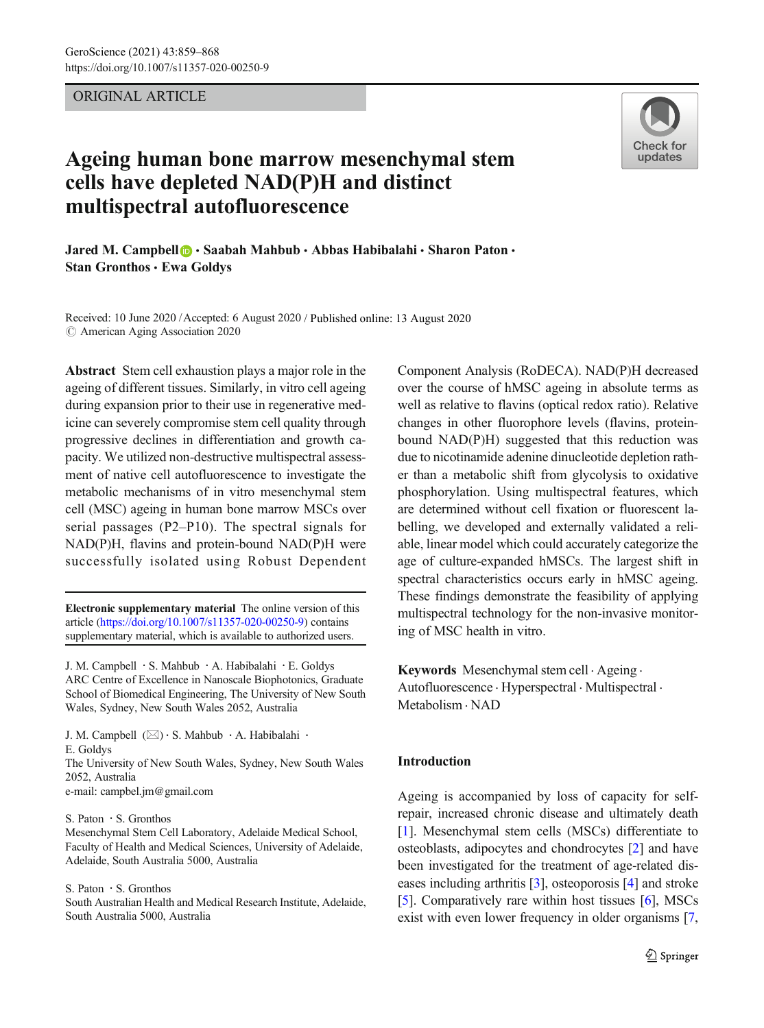# ORIGINAL ARTICLE



# Ageing human bone marrow mesenchymal stem cells have depleted NAD(P)H and distinct multispectral autofluorescence

Jared M. Campbell  $\bigcirc$  · Saabah Mahbub · Abbas Habibalahi · Sharon Paton · Stan Gronthos · Ewa Goldys

Received: 10 June 2020 /Accepted: 6 August 2020 / Published online: 13 August 2020  $\odot$  American Aging Association 2020

Abstract Stem cell exhaustion plays a major role in the ageing of different tissues. Similarly, in vitro cell ageing during expansion prior to their use in regenerative medicine can severely compromise stem cell quality through progressive declines in differentiation and growth capacity. We utilized non-destructive multispectral assessment of native cell autofluorescence to investigate the metabolic mechanisms of in vitro mesenchymal stem cell (MSC) ageing in human bone marrow MSCs over serial passages (P2–P10). The spectral signals for NAD(P)H, flavins and protein-bound NAD(P)H were successfully isolated using Robust Dependent

Electronic supplementary material The online version of this article ([https://doi.org/10.1007/s11357-020-00250-9\)](https://doi.org/10.1007/s11357-020-00250-9) contains supplementary material, which is available to authorized users.

J. M. Campbell : S. Mahbub : A. Habibalahi : E. Goldys ARC Centre of Excellence in Nanoscale Biophotonics, Graduate School of Biomedical Engineering, The University of New South Wales, Sydney, New South Wales 2052, Australia

J. M. Campbell  $(\boxtimes) \cdot$  S. Mahbub  $\cdot$  A. Habibalahi  $\cdot$ E. Goldys The University of New South Wales, Sydney, New South Wales

2052, Australia

e-mail: campbel.jm@gmail.com

S. Paton : S. Gronthos

Mesenchymal Stem Cell Laboratory, Adelaide Medical School, Faculty of Health and Medical Sciences, University of Adelaide, Adelaide, South Australia 5000, Australia

S. Paton : S. Gronthos

South Australian Health and Medical Research Institute, Adelaide, South Australia 5000, Australia

Component Analysis (RoDECA). NAD(P)H decreased over the course of hMSC ageing in absolute terms as well as relative to flavins (optical redox ratio). Relative changes in other fluorophore levels (flavins, proteinbound NAD(P)H) suggested that this reduction was due to nicotinamide adenine dinucleotide depletion rather than a metabolic shift from glycolysis to oxidative phosphorylation. Using multispectral features, which are determined without cell fixation or fluorescent labelling, we developed and externally validated a reliable, linear model which could accurately categorize the age of culture-expanded hMSCs. The largest shift in spectral characteristics occurs early in hMSC ageing. These findings demonstrate the feasibility of applying multispectral technology for the non-invasive monitoring of MSC health in vitro.

Keywords Mesenchymal stem cell · Ageing · Autofluorescence . Hyperspectral . Multispectral . Metabolism . NAD

# Introduction

Ageing is accompanied by loss of capacity for selfrepair, increased chronic disease and ultimately death [\[1\]](#page-8-0). Mesenchymal stem cells (MSCs) differentiate to osteoblasts, adipocytes and chondrocytes [\[2](#page-8-0)] and have been investigated for the treatment of age-related diseases including arthritis [\[3](#page-8-0)], osteoporosis [\[4](#page-8-0)] and stroke [\[5\]](#page-8-0). Comparatively rare within host tissues [[6\]](#page-8-0), MSCs exist with even lower frequency in older organisms [\[7,](#page-8-0)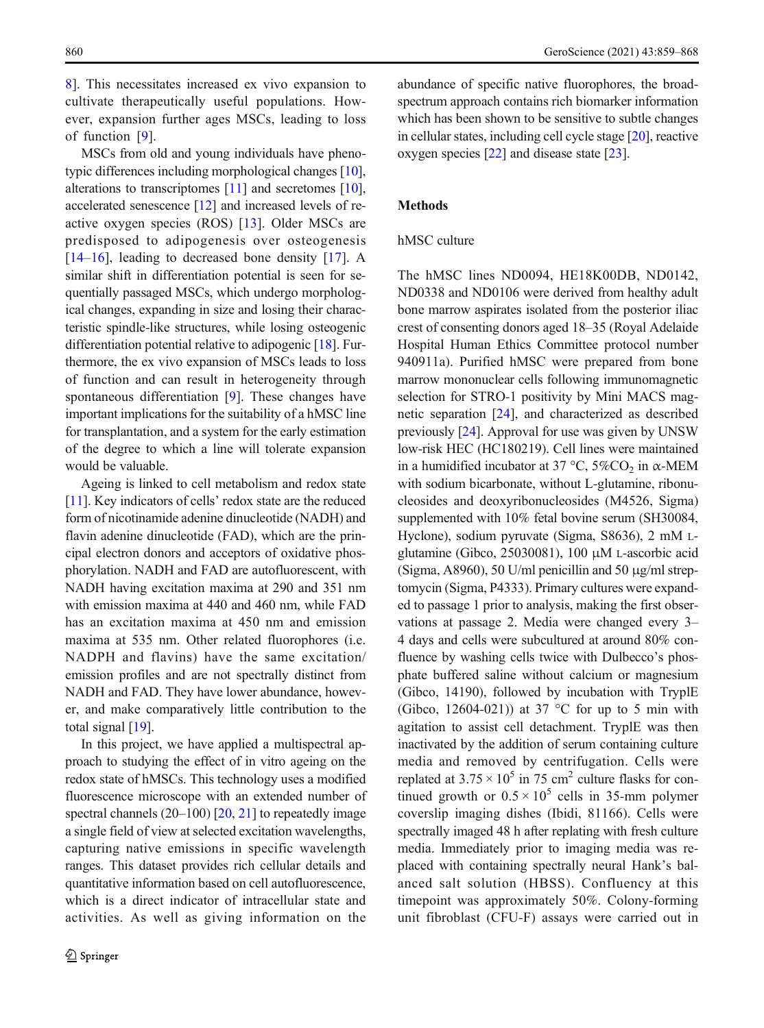[8\]](#page-8-0). This necessitates increased ex vivo expansion to cultivate therapeutically useful populations. However, expansion further ages MSCs, leading to loss of function [\[9](#page-8-0)].

MSCs from old and young individuals have phenotypic differences including morphological changes [[10\]](#page-8-0), alterations to transcriptomes [[11\]](#page-8-0) and secretomes [[10\]](#page-8-0), accelerated senescence [\[12\]](#page-8-0) and increased levels of reactive oxygen species (ROS) [\[13](#page-8-0)]. Older MSCs are predisposed to adipogenesis over osteogenesis [[14](#page-8-0)–[16](#page-8-0)], leading to decreased bone density [[17\]](#page-8-0). A similar shift in differentiation potential is seen for sequentially passaged MSCs, which undergo morphological changes, expanding in size and losing their characteristic spindle-like structures, while losing osteogenic differentiation potential relative to adipogenic [\[18\]](#page-8-0). Furthermore, the ex vivo expansion of MSCs leads to loss of function and can result in heterogeneity through spontaneous differentiation [\[9](#page-8-0)]. These changes have important implications for the suitability of a hMSC line for transplantation, and a system for the early estimation of the degree to which a line will tolerate expansion would be valuable.

Ageing is linked to cell metabolism and redox state [[11\]](#page-8-0). Key indicators of cells' redox state are the reduced form of nicotinamide adenine dinucleotide (NADH) and flavin adenine dinucleotide (FAD), which are the principal electron donors and acceptors of oxidative phosphorylation. NADH and FAD are autofluorescent, with NADH having excitation maxima at 290 and 351 nm with emission maxima at 440 and 460 nm, while FAD has an excitation maxima at 450 nm and emission maxima at 535 nm. Other related fluorophores (i.e. NADPH and flavins) have the same excitation/ emission profiles and are not spectrally distinct from NADH and FAD. They have lower abundance, however, and make comparatively little contribution to the total signal [\[19](#page-8-0)].

In this project, we have applied a multispectral approach to studying the effect of in vitro ageing on the redox state of hMSCs. This technology uses a modified fluorescence microscope with an extended number of spectral channels  $(20-100)$   $[20, 21]$  $[20, 21]$  $[20, 21]$  to repeatedly image a single field of view at selected excitation wavelengths, capturing native emissions in specific wavelength ranges. This dataset provides rich cellular details and quantitative information based on cell autofluorescence, which is a direct indicator of intracellular state and activities. As well as giving information on the

abundance of specific native fluorophores, the broadspectrum approach contains rich biomarker information which has been shown to be sensitive to subtle changes in cellular states, including cell cycle stage [[20](#page-8-0)], reactive oxygen species [[22\]](#page-8-0) and disease state [\[23\]](#page-8-0).

# Methods

### hMSC culture

The hMSC lines ND0094, HE18K00DB, ND0142, ND0338 and ND0106 were derived from healthy adult bone marrow aspirates isolated from the posterior iliac crest of consenting donors aged 18–35 (Royal Adelaide Hospital Human Ethics Committee protocol number 940911a). Purified hMSC were prepared from bone marrow mononuclear cells following immunomagnetic selection for STRO-1 positivity by Mini MACS magnetic separation [[24\]](#page-8-0), and characterized as described previously [\[24](#page-8-0)]. Approval for use was given by UNSW low-risk HEC (HC180219). Cell lines were maintained in a humidified incubator at 37 °C, 5%CO<sub>2</sub> in  $\alpha$ -MEM with sodium bicarbonate, without L-glutamine, ribonucleosides and deoxyribonucleosides (M4526, Sigma) supplemented with 10% fetal bovine serum (SH30084, Hyclone), sodium pyruvate (Sigma, S8636), 2 mM Lglutamine (Gibco, 25030081), 100 μM L-ascorbic acid (Sigma, A8960), 50 U/ml penicillin and 50 μg/ml streptomycin (Sigma, P4333). Primary cultures were expanded to passage 1 prior to analysis, making the first observations at passage 2. Media were changed every 3– 4 days and cells were subcultured at around 80% confluence by washing cells twice with Dulbecco's phosphate buffered saline without calcium or magnesium (Gibco, 14190), followed by incubation with TryplE (Gibco, 12604-021)) at 37  $\degree$ C for up to 5 min with agitation to assist cell detachment. TryplE was then inactivated by the addition of serum containing culture media and removed by centrifugation. Cells were replated at  $3.75 \times 10^5$  in 75 cm<sup>2</sup> culture flasks for continued growth or  $0.5 \times 10^5$  cells in 35-mm polymer coverslip imaging dishes (Ibidi, 81166). Cells were spectrally imaged 48 h after replating with fresh culture media. Immediately prior to imaging media was replaced with containing spectrally neural Hank's balanced salt solution (HBSS). Confluency at this timepoint was approximately 50%. Colony-forming unit fibroblast (CFU-F) assays were carried out in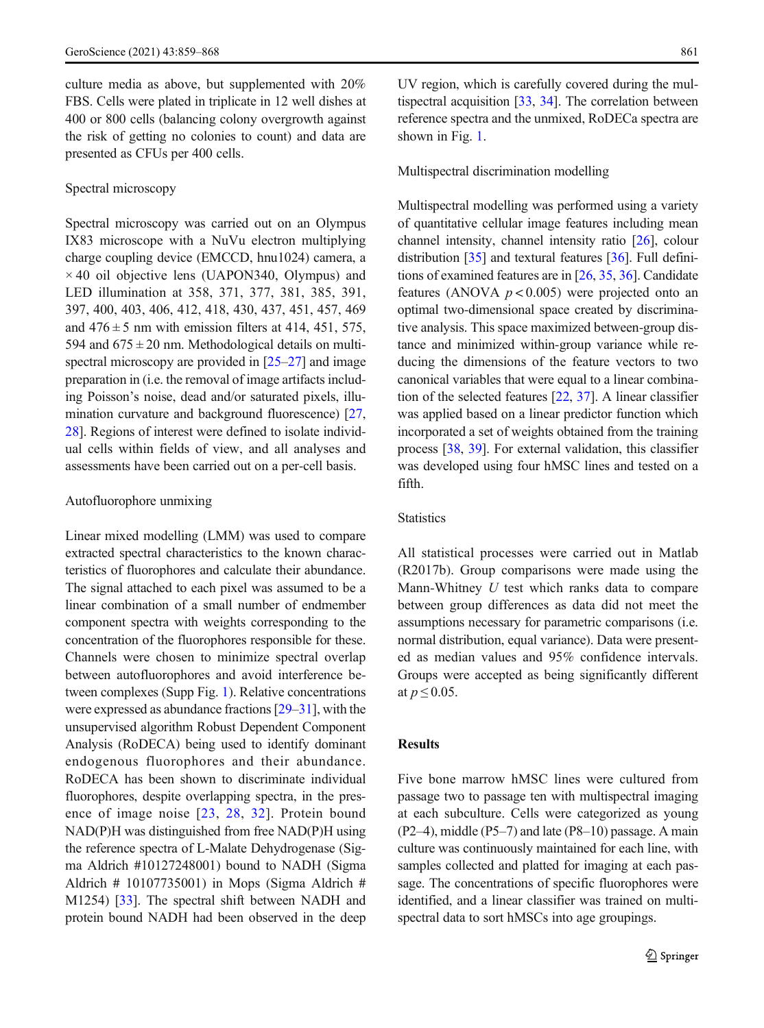culture media as above, but supplemented with 20% FBS. Cells were plated in triplicate in 12 well dishes at 400 or 800 cells (balancing colony overgrowth against the risk of getting no colonies to count) and data are presented as CFUs per 400 cells.

#### Spectral microscopy

Spectral microscopy was carried out on an Olympus IX83 microscope with a NuVu electron multiplying charge coupling device (EMCCD, hnu1024) camera, a  $\times$  40 oil objective lens (UAPON340, Olympus) and LED illumination at 358, 371, 377, 381, 385, 391, 397, 400, 403, 406, 412, 418, 430, 437, 451, 457, 469 and  $476 \pm 5$  nm with emission filters at 414, 451, 575, 594 and  $675 \pm 20$  nm. Methodological details on multispectral microscopy are provided in  $[25-27]$  $[25-27]$  $[25-27]$  $[25-27]$  $[25-27]$  and image preparation in (i.e. the removal of image artifacts including Poisson's noise, dead and/or saturated pixels, illumination curvature and background fluorescence) [[27,](#page-9-0) [28\]](#page-9-0). Regions of interest were defined to isolate individual cells within fields of view, and all analyses and assessments have been carried out on a per-cell basis.

#### Autofluorophore unmixing

Linear mixed modelling (LMM) was used to compare extracted spectral characteristics to the known characteristics of fluorophores and calculate their abundance. The signal attached to each pixel was assumed to be a linear combination of a small number of endmember component spectra with weights corresponding to the concentration of the fluorophores responsible for these. Channels were chosen to minimize spectral overlap between autofluorophores and avoid interference between complexes (Supp Fig. 1). Relative concentrations were expressed as abundance fractions [\[29](#page-9-0)–[31\]](#page-9-0), with the unsupervised algorithm Robust Dependent Component Analysis (RoDECA) being used to identify dominant endogenous fluorophores and their abundance. RoDECA has been shown to discriminate individual fluorophores, despite overlapping spectra, in the presence of image noise [[23,](#page-8-0) [28,](#page-9-0) [32](#page-9-0)]. Protein bound NAD(P)H was distinguished from free NAD(P)H using the reference spectra of L-Malate Dehydrogenase (Sigma Aldrich #10127248001) bound to NADH (Sigma Aldrich # 10107735001) in Mops (Sigma Aldrich # M1254) [\[33](#page-9-0)]. The spectral shift between NADH and protein bound NADH had been observed in the deep UV region, which is carefully covered during the multispectral acquisition [\[33](#page-9-0), [34\]](#page-9-0). The correlation between reference spectra and the unmixed, RoDECa spectra are shown in Fig. [1](#page-3-0).

#### Multispectral discrimination modelling

Multispectral modelling was performed using a variety of quantitative cellular image features including mean channel intensity, channel intensity ratio [[26\]](#page-9-0), colour distribution [[35](#page-9-0)] and textural features [[36](#page-9-0)]. Full definitions of examined features are in [[26,](#page-9-0) [35,](#page-9-0) [36](#page-9-0)]. Candidate features (ANOVA  $p < 0.005$ ) were projected onto an optimal two-dimensional space created by discriminative analysis. This space maximized between-group distance and minimized within-group variance while reducing the dimensions of the feature vectors to two canonical variables that were equal to a linear combination of the selected features [\[22,](#page-8-0) [37\]](#page-9-0). A linear classifier was applied based on a linear predictor function which incorporated a set of weights obtained from the training process [\[38,](#page-9-0) [39](#page-9-0)]. For external validation, this classifier was developed using four hMSC lines and tested on a fifth.

### **Statistics**

All statistical processes were carried out in Matlab (R2017b). Group comparisons were made using the Mann-Whitney U test which ranks data to compare between group differences as data did not meet the assumptions necessary for parametric comparisons (i.e. normal distribution, equal variance). Data were presented as median values and 95% confidence intervals. Groups were accepted as being significantly different at  $p \leq 0.05$ .

### Results

Five bone marrow hMSC lines were cultured from passage two to passage ten with multispectral imaging at each subculture. Cells were categorized as young (P2–4), middle (P5–7) and late (P8–10) passage. A main culture was continuously maintained for each line, with samples collected and platted for imaging at each passage. The concentrations of specific fluorophores were identified, and a linear classifier was trained on multispectral data to sort hMSCs into age groupings.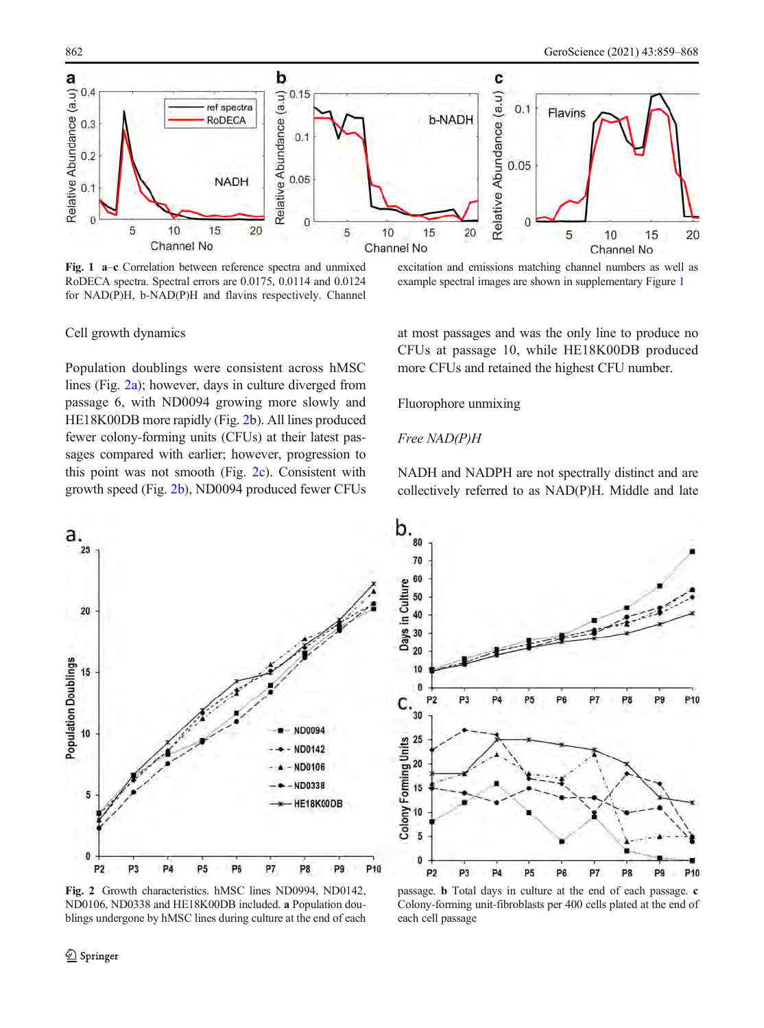<span id="page-3-0"></span>

Fig. 1 a–c Correlation between reference spectra and unmixed RoDECA spectra. Spectral errors are 0.0175, 0.0114 and 0.0124 for NAD(P)H, b-NAD(P)H and flavins respectively. Channel

excitation and emissions matching channel numbers as well as example spectral images are shown in supplementary Figure 1

#### Cell growth dynamics

Population doublings were consistent across hMSC lines (Fig. 2a); however, days in culture diverged from passage 6, with ND0094 growing more slowly and HE18K00DB more rapidly (Fig. 2b). All lines produced fewer colony-forming units (CFUs) at their latest passages compared with earlier; however, progression to this point was not smooth (Fig. 2c). Consistent with growth speed (Fig. 2b), ND0094 produced fewer CFUs at most passages and was the only line to produce no CFUs at passage 10, while HE18K00DB produced more CFUs and retained the highest CFU number.

Fluorophore unmixing

#### Free NAD(P)H

NADH and NADPH are not spectrally distinct and are collectively referred to as NAD(P)H. Middle and late



Fig. 2 Growth characteristics. hMSC lines ND0994, ND0142, ND0106, ND0338 and HE18K00DB included. a Population doublings undergone by hMSC lines during culture at the end of each



passage. b Total days in culture at the end of each passage. c Colony-forming unit-fibroblasts per 400 cells plated at the end of each cell passage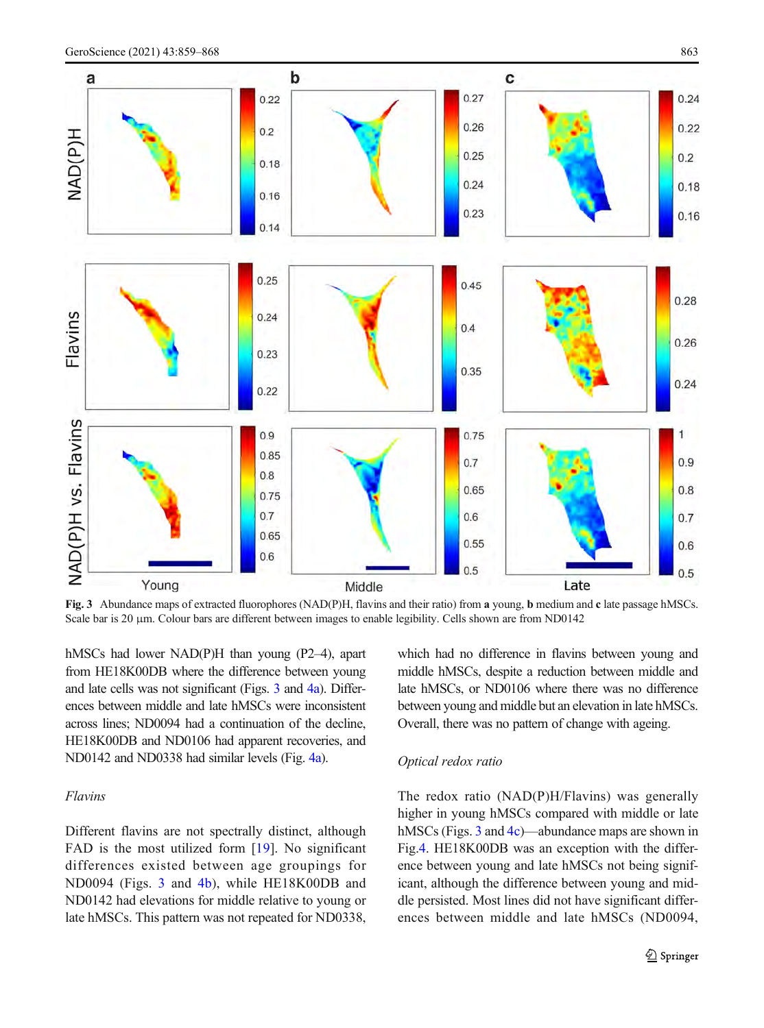<span id="page-4-0"></span>

Fig. 3 Abundance maps of extracted fluorophores (NAD(P)H, flavins and their ratio) from a young, b medium and c late passage hMSCs. Scale bar is 20 μm. Colour bars are different between images to enable legibility. Cells shown are from ND0142

hMSCs had lower NAD(P)H than young (P2–4), apart from HE18K00DB where the difference between young and late cells was not significant (Figs. 3 and [4a\)](#page-5-0). Differences between middle and late hMSCs were inconsistent across lines; ND0094 had a continuation of the decline, HE18K00DB and ND0106 had apparent recoveries, and ND0142 and ND0338 had similar levels (Fig. [4a](#page-5-0)).

### Flavins

Different flavins are not spectrally distinct, although FAD is the most utilized form [\[19](#page-8-0)]. No significant differences existed between age groupings for ND0094 (Figs. 3 and [4b\)](#page-5-0), while HE18K00DB and ND0142 had elevations for middle relative to young or late hMSCs. This pattern was not repeated for ND0338, which had no difference in flavins between young and middle hMSCs, despite a reduction between middle and late hMSCs, or ND0106 where there was no difference between young and middle but an elevation in late hMSCs. Overall, there was no pattern of change with ageing.

#### Optical redox ratio

The redox ratio (NAD(P)H/Flavins) was generally higher in young hMSCs compared with middle or late hMSCs (Figs. 3 and [4c\)](#page-5-0)—abundance maps are shown in Fig[.4](#page-5-0). HE18K00DB was an exception with the difference between young and late hMSCs not being significant, although the difference between young and middle persisted. Most lines did not have significant differences between middle and late hMSCs (ND0094,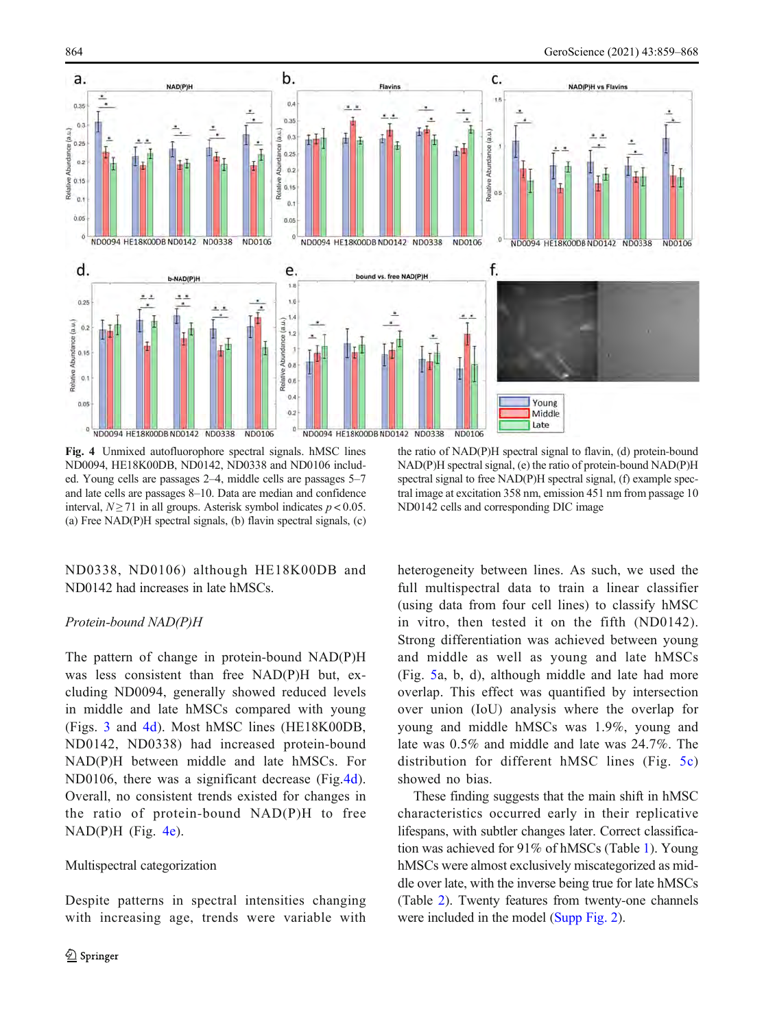<span id="page-5-0"></span>

Fig. 4 Unmixed autofluorophore spectral signals. hMSC lines ND0094, HE18K00DB, ND0142, ND0338 and ND0106 included. Young cells are passages 2–4, middle cells are passages 5–7 and late cells are passages 8–10. Data are median and confidence interval,  $N \ge 71$  in all groups. Asterisk symbol indicates  $p < 0.05$ . (a) Free NAD(P)H spectral signals, (b) flavin spectral signals, (c)

ND0338, ND0106) although HE18K00DB and ND0142 had increases in late hMSCs.

## Protein-bound NAD(P)H

The pattern of change in protein-bound NAD(P)H was less consistent than free NAD(P)H but, excluding ND0094, generally showed reduced levels in middle and late hMSCs compared with young (Figs. [3](#page-4-0) and 4d). Most hMSC lines (HE18K00DB, ND0142, ND0338) had increased protein-bound NAD(P)H between middle and late hMSCs. For ND0106, there was a significant decrease (Fig.4d). Overall, no consistent trends existed for changes in the ratio of protein-bound NAD(P)H to free  $NAD(P)H$  (Fig. 4e).

#### Multispectral categorization

Despite patterns in spectral intensities changing with increasing age, trends were variable with

the ratio of NAD(P)H spectral signal to flavin, (d) protein-bound NAD(P)H spectral signal, (e) the ratio of protein-bound NAD(P)H spectral signal to free NAD(P)H spectral signal, (f) example spectral image at excitation 358 nm, emission 451 nm from passage 10 ND0142 cells and corresponding DIC image

heterogeneity between lines. As such, we used the full multispectral data to train a linear classifier (using data from four cell lines) to classify hMSC in vitro, then tested it on the fifth (ND0142). Strong differentiation was achieved between young and middle as well as young and late hMSCs (Fig. [5a](#page-6-0), b, d), although middle and late had more overlap. This effect was quantified by intersection over union (IoU) analysis where the overlap for young and middle hMSCs was 1.9%, young and late was 0.5% and middle and late was 24.7%. The distribution for different hMSC lines (Fig. [5c](#page-6-0)) showed no bias.

These finding suggests that the main shift in hMSC characteristics occurred early in their replicative lifespans, with subtler changes later. Correct classification was achieved for 91% of hMSCs (Table [1\)](#page-6-0). Young hMSCs were almost exclusively miscategorized as middle over late, with the inverse being true for late hMSCs (Table [2\)](#page-6-0). Twenty features from twenty-one channels were included in the model (Supp Fig. 2).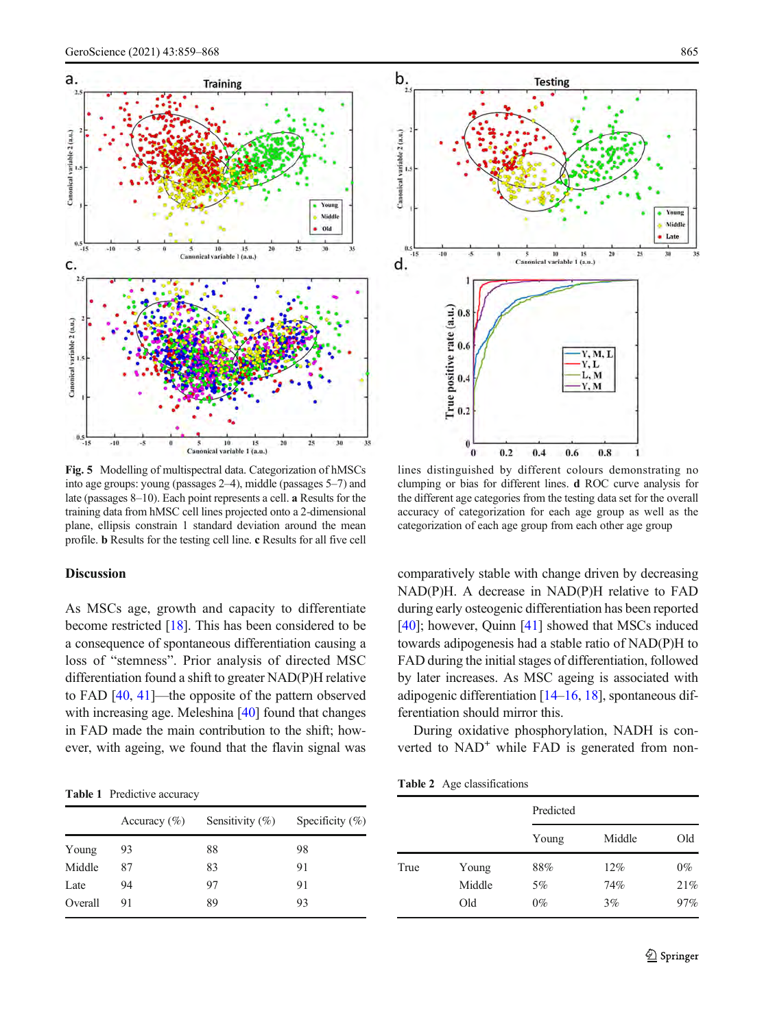<span id="page-6-0"></span>



Fig. 5 Modelling of multispectral data. Categorization of hMSCs into age groups: young (passages 2–4), middle (passages 5–7) and late (passages 8–10). Each point represents a cell. a Results for the training data from hMSC cell lines projected onto a 2-dimensional plane, ellipsis constrain 1 standard deviation around the mean profile. b Results for the testing cell line. c Results for all five cell

#### Discussion

As MSCs age, growth and capacity to differentiate become restricted [[18](#page-8-0)]. This has been considered to be a consequence of spontaneous differentiation causing a loss of "stemness". Prior analysis of directed MSC differentiation found a shift to greater NAD(P)H relative to FAD [\[40,](#page-9-0) [41\]](#page-9-0)—the opposite of the pattern observed with increasing age. Meleshina [\[40\]](#page-9-0) found that changes in FAD made the main contribution to the shift; however, with ageing, we found that the flavin signal was

Table 1 Predictive accuracy

|         | Accuracy $(\%)$ | Sensitivity $(\%)$ | Specificity $(\% )$ |
|---------|-----------------|--------------------|---------------------|
| Young   | 93              | 88                 | 98                  |
| Middle  | 87              | 83                 | 91                  |
| Late    | 94              | 97                 | 91                  |
| Overall | 91              | 89                 | 93                  |
|         |                 |                    |                     |

lines distinguished by different colours demonstrating no clumping or bias for different lines. d ROC curve analysis for the different age categories from the testing data set for the overall accuracy of categorization for each age group as well as the categorization of each age group from each other age group

comparatively stable with change driven by decreasing NAD(P)H. A decrease in NAD(P)H relative to FAD during early osteogenic differentiation has been reported [\[40\]](#page-9-0); however, Quinn [[41\]](#page-9-0) showed that MSCs induced towards adipogenesis had a stable ratio of NAD(P)H to FAD during the initial stages of differentiation, followed by later increases. As MSC ageing is associated with adipogenic differentiation  $[14–16, 18]$  $[14–16, 18]$  $[14–16, 18]$  $[14–16, 18]$  $[14–16, 18]$  $[14–16, 18]$ , spontaneous differentiation should mirror this.

During oxidative phosphorylation, NADH is converted to NAD<sup>+</sup> while FAD is generated from non-

| <b>Table 2</b> Age classifications |  |  |  |
|------------------------------------|--|--|--|
|------------------------------------|--|--|--|

|      |                        | Predicted          |                  |                     |
|------|------------------------|--------------------|------------------|---------------------|
|      |                        | Young              | Middle           | Old                 |
| True | Young<br>Middle<br>Old | 88%<br>5%<br>$0\%$ | 12%<br>74%<br>3% | $0\%$<br>21%<br>97% |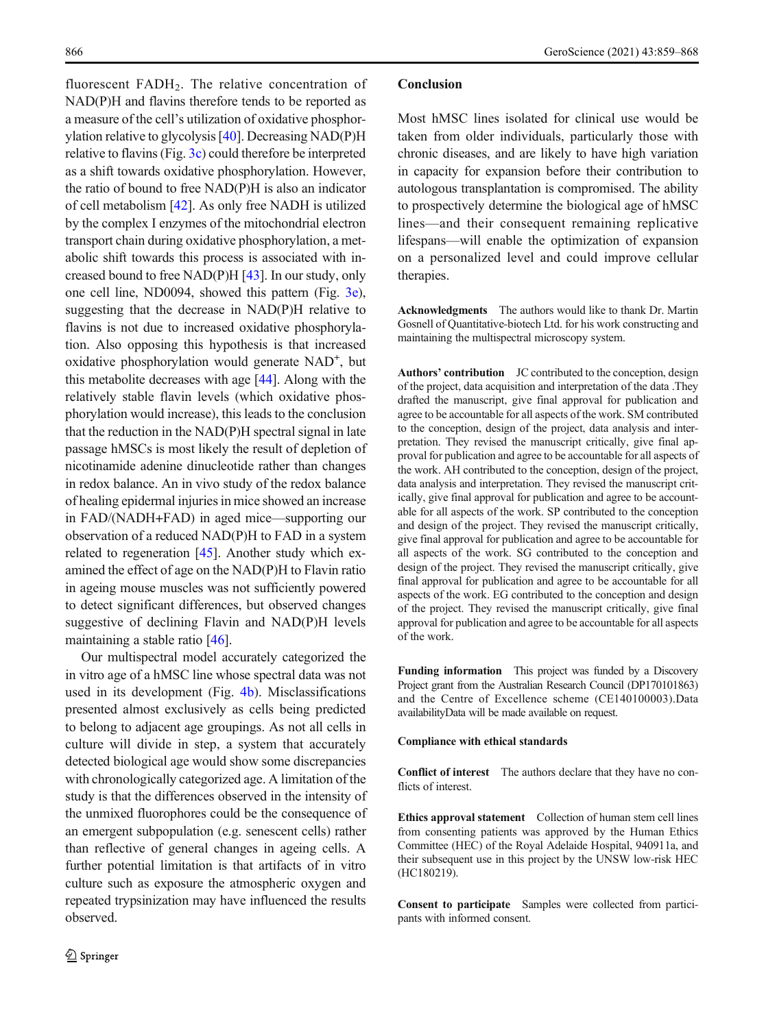fluorescent  $FADH<sub>2</sub>$ . The relative concentration of NAD(P)H and flavins therefore tends to be reported as a measure of the cell's utilization of oxidative phosphorylation relative to glycolysis [[40](#page-9-0)]. Decreasing NAD(P)H relative to flavins (Fig. [3c](#page-4-0)) could therefore be interpreted as a shift towards oxidative phosphorylation. However, the ratio of bound to free NAD(P)H is also an indicator of cell metabolism [[42](#page-9-0)]. As only free NADH is utilized by the complex I enzymes of the mitochondrial electron transport chain during oxidative phosphorylation, a metabolic shift towards this process is associated with increased bound to free NAD(P)H [\[43](#page-9-0)]. In our study, only one cell line, ND0094, showed this pattern (Fig. [3e\)](#page-4-0), suggesting that the decrease in NAD(P)H relative to flavins is not due to increased oxidative phosphorylation. Also opposing this hypothesis is that increased oxidative phosphorylation would generate NAD<sup>+</sup>, but this metabolite decreases with age [\[44](#page-9-0)]. Along with the relatively stable flavin levels (which oxidative phosphorylation would increase), this leads to the conclusion that the reduction in the NAD(P)H spectral signal in late passage hMSCs is most likely the result of depletion of nicotinamide adenine dinucleotide rather than changes in redox balance. An in vivo study of the redox balance of healing epidermal injuries in mice showed an increase in FAD/(NADH+FAD) in aged mice—supporting our observation of a reduced NAD(P)H to FAD in a system related to regeneration [[45\]](#page-9-0). Another study which examined the effect of age on the NAD(P)H to Flavin ratio in ageing mouse muscles was not sufficiently powered to detect significant differences, but observed changes suggestive of declining Flavin and NAD(P)H levels maintaining a stable ratio [[46\]](#page-9-0).

Our multispectral model accurately categorized the in vitro age of a hMSC line whose spectral data was not used in its development (Fig. [4b\)](#page-5-0). Misclassifications presented almost exclusively as cells being predicted to belong to adjacent age groupings. As not all cells in culture will divide in step, a system that accurately detected biological age would show some discrepancies with chronologically categorized age. A limitation of the study is that the differences observed in the intensity of the unmixed fluorophores could be the consequence of an emergent subpopulation (e.g. senescent cells) rather than reflective of general changes in ageing cells. A further potential limitation is that artifacts of in vitro culture such as exposure the atmospheric oxygen and repeated trypsinization may have influenced the results observed.

#### **Conclusion**

Most hMSC lines isolated for clinical use would be taken from older individuals, particularly those with chronic diseases, and are likely to have high variation in capacity for expansion before their contribution to autologous transplantation is compromised. The ability to prospectively determine the biological age of hMSC lines—and their consequent remaining replicative lifespans—will enable the optimization of expansion on a personalized level and could improve cellular therapies.

Acknowledgments The authors would like to thank Dr. Martin Gosnell of Quantitative-biotech Ltd. for his work constructing and maintaining the multispectral microscopy system.

Authors' contribution JC contributed to the conception, design of the project, data acquisition and interpretation of the data .They drafted the manuscript, give final approval for publication and agree to be accountable for all aspects of the work. SM contributed to the conception, design of the project, data analysis and interpretation. They revised the manuscript critically, give final approval for publication and agree to be accountable for all aspects of the work. AH contributed to the conception, design of the project, data analysis and interpretation. They revised the manuscript critically, give final approval for publication and agree to be accountable for all aspects of the work. SP contributed to the conception and design of the project. They revised the manuscript critically, give final approval for publication and agree to be accountable for all aspects of the work. SG contributed to the conception and design of the project. They revised the manuscript critically, give final approval for publication and agree to be accountable for all aspects of the work. EG contributed to the conception and design of the project. They revised the manuscript critically, give final approval for publication and agree to be accountable for all aspects of the work.

Funding information This project was funded by a Discovery Project grant from the Australian Research Council (DP170101863) and the Centre of Excellence scheme (CE140100003).Data availabilityData will be made available on request.

#### Compliance with ethical standards

Conflict of interest The authors declare that they have no conflicts of interest.

Ethics approval statement Collection of human stem cell lines from consenting patients was approved by the Human Ethics Committee (HEC) of the Royal Adelaide Hospital, 940911a, and their subsequent use in this project by the UNSW low-risk HEC (HC180219).

Consent to participate Samples were collected from participants with informed consent.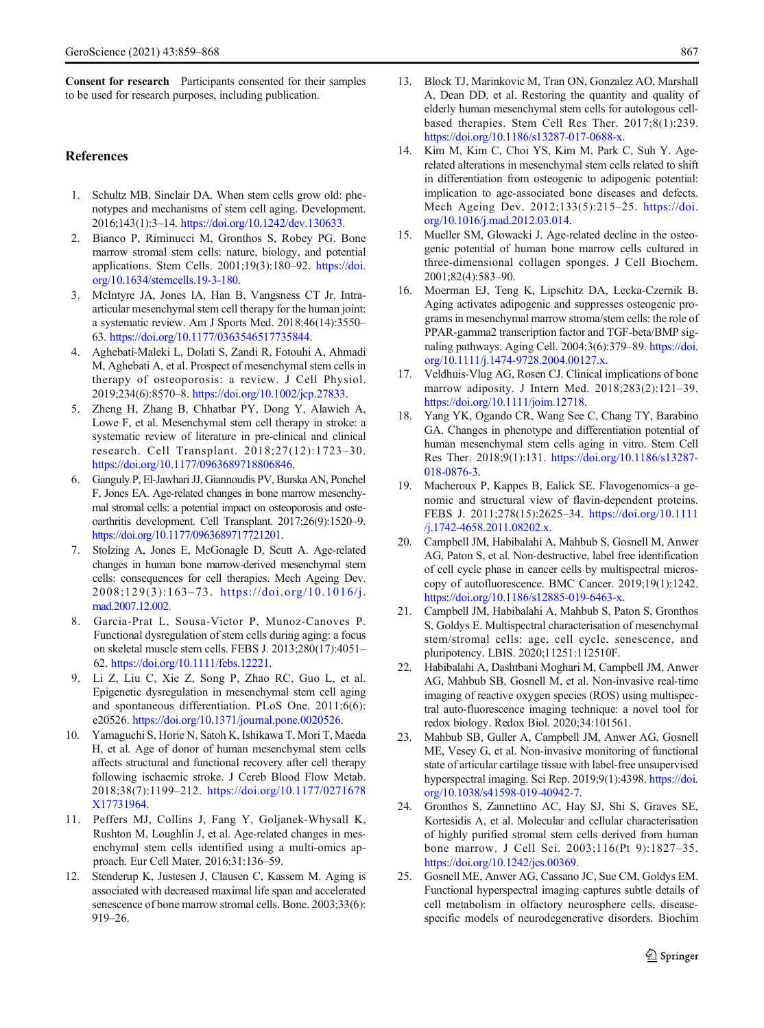<span id="page-8-0"></span>Consent for research Participants consented for their samples to be used for research purposes, including publication.

#### References

- 1. Schultz MB, Sinclair DA. When stem cells grow old: phenotypes and mechanisms of stem cell aging. Development. 2016;143(1):3–14. <https://doi.org/10.1242/dev.130633>.
- 2. Bianco P, Riminucci M, Gronthos S, Robey PG. Bone marrow stromal stem cells: nature, biology, and potential applications. Stem Cells. 2001;19(3):180–92. [https://doi.](https://doi.org/10.1634/stemcells.19-3-180) [org/10.1634/stemcells.19-3-180.](https://doi.org/10.1634/stemcells.19-3-180)
- 3. McIntyre JA, Jones IA, Han B, Vangsness CT Jr. Intraarticular mesenchymal stem cell therapy for the human joint: a systematic review. Am J Sports Med. 2018;46(14):3550– 63. [https://doi.org/10.1177/0363546517735844.](https://doi.org/10.1177/0363546517735844)
- 4. Aghebati-Maleki L, Dolati S, Zandi R, Fotouhi A, Ahmadi M, Aghebati A, et al. Prospect of mesenchymal stem cells in therapy of osteoporosis: a review. J Cell Physiol. 2019;234(6):8570–8. <https://doi.org/10.1002/jcp.27833>.
- 5. Zheng H, Zhang B, Chhatbar PY, Dong Y, Alawieh A, Lowe F, et al. Mesenchymal stem cell therapy in stroke: a systematic review of literature in pre-clinical and clinical research. Cell Transplant. 2018;27(12):1723–30. <https://doi.org/10.1177/0963689718806846>.
- 6. Ganguly P, El-Jawhari JJ, Giannoudis PV, Burska AN, Ponchel F, Jones EA. Age-related changes in bone marrow mesenchymal stromal cells: a potential impact on osteoporosis and osteoarthritis development. Cell Transplant. 2017;26(9):1520–9. <https://doi.org/10.1177/0963689717721201>.
- 7. Stolzing A, Jones E, McGonagle D, Scutt A. Age-related changes in human bone marrow-derived mesenchymal stem cells: consequences for cell therapies. Mech Ageing Dev. 2008;129(3):163–73. [https://doi.org/10.1016/j.](https://doi.org/10.1016/j.mad.2007.12.002) [mad.2007.12.002.](https://doi.org/10.1016/j.mad.2007.12.002)
- 8. Garcia-Prat L, Sousa-Victor P, Munoz-Canoves P. Functional dysregulation of stem cells during aging: a focus on skeletal muscle stem cells. FEBS J. 2013;280(17):4051– 62. [https://doi.org/10.1111/febs.12221.](https://doi.org/10.1111/febs.12221)
- 9. Li Z, Liu C, Xie Z, Song P, Zhao RC, Guo L, et al. Epigenetic dysregulation in mesenchymal stem cell aging and spontaneous differentiation. PLoS One. 2011;6(6): e20526. <https://doi.org/10.1371/journal.pone.0020526>.
- 10. Yamaguchi S, Horie N, Satoh K, Ishikawa T, Mori T, Maeda H, et al. Age of donor of human mesenchymal stem cells affects structural and functional recovery after cell therapy following ischaemic stroke. J Cereb Blood Flow Metab. 2018;38(7):1199–212. [https://doi.org/10.1177/0271678](https://doi.org/10.1177/0271678X17731964) [X17731964.](https://doi.org/10.1177/0271678X17731964)
- 11. Peffers MJ, Collins J, Fang Y, Goljanek-Whysall K, Rushton M, Loughlin J, et al. Age-related changes in mesenchymal stem cells identified using a multi-omics approach. Eur Cell Mater. 2016;31:136–59.
- 12. Stenderup K, Justesen J, Clausen C, Kassem M. Aging is associated with decreased maximal life span and accelerated senescence of bone marrow stromal cells. Bone. 2003:33(6): 919–26.
- 13. Block TJ, Marinkovic M, Tran ON, Gonzalez AO, Marshall A, Dean DD, et al. Restoring the quantity and quality of elderly human mesenchymal stem cells for autologous cellbased therapies. Stem Cell Res Ther. 2017;8(1):239. [https://doi.org/10.1186/s13287-017-0688-x.](https://doi.org/10.1186/s13287-017-0688-x)
- 14. Kim M, Kim C, Choi YS, Kim M, Park C, Suh Y. Agerelated alterations in mesenchymal stem cells related to shift in differentiation from osteogenic to adipogenic potential: implication to age-associated bone diseases and defects. Mech Ageing Dev. 2012;133(5):215–25. [https://doi.](https://doi.org/10.1016/j.mad.2012.03.014) [org/10.1016/j.mad.2012.03.014.](https://doi.org/10.1016/j.mad.2012.03.014)
- 15. Mueller SM, Glowacki J. Age-related decline in the osteogenic potential of human bone marrow cells cultured in three-dimensional collagen sponges. J Cell Biochem. 2001;82(4):583–90.
- 16. Moerman EJ, Teng K, Lipschitz DA, Lecka-Czernik B. Aging activates adipogenic and suppresses osteogenic programs in mesenchymal marrow stroma/stem cells: the role of PPAR-gamma2 transcription factor and TGF-beta/BMP signaling pathways. Aging Cell. 2004;3(6):379–89. [https://doi.](https://doi.org/10.1111/j.1474-9728.2004.00127.x) [org/10.1111/j.1474-9728.2004.00127.x.](https://doi.org/10.1111/j.1474-9728.2004.00127.x)
- 17. Veldhuis-Vlug AG, Rosen CJ. Clinical implications of bone marrow adiposity. J Intern Med. 2018;283(2):121–39. [https://doi.org/10.1111/joim.12718.](https://doi.org/10.1111/joim.12718)
- 18. Yang YK, Ogando CR, Wang See C, Chang TY, Barabino GA. Changes in phenotype and differentiation potential of human mesenchymal stem cells aging in vitro. Stem Cell Res Ther. 2018;9(1):131. [https://doi.org/10.1186/s13287-](https://doi.org/10.1186/s13287-018-0876-3) [018-0876-3](https://doi.org/10.1186/s13287-018-0876-3).
- 19. Macheroux P, Kappes B, Ealick SE. Flavogenomics–a genomic and structural view of flavin-dependent proteins. FEBS J. 2011;278(15):2625–34. [https://doi.org/10.1111](https://doi.org/10.1111/j.1742-4658.2011.08202.x) [/j.1742-4658.2011.08202.x](https://doi.org/10.1111/j.1742-4658.2011.08202.x).
- 20. Campbell JM, Habibalahi A, Mahbub S, Gosnell M, Anwer AG, Paton S, et al. Non-destructive, label free identification of cell cycle phase in cancer cells by multispectral microscopy of autofluorescence. BMC Cancer. 2019;19(1):1242. [https://doi.org/10.1186/s12885-019-6463-x.](https://doi.org/10.1186/s12885-019-6463-x)
- 21. Campbell JM, Habibalahi A, Mahbub S, Paton S, Gronthos S, Goldys E. Multispectral characterisation of mesenchymal stem/stromal cells: age, cell cycle, senescence, and pluripotency. LBIS. 2020;11251:112510F.
- 22. Habibalahi A, Dashtbani Moghari M, Campbell JM, Anwer AG, Mahbub SB, Gosnell M, et al. Non-invasive real-time imaging of reactive oxygen species (ROS) using multispectral auto-fluorescence imaging technique: a novel tool for redox biology. Redox Biol. 2020;34:101561.
- 23. Mahbub SB, Guller A, Campbell JM, Anwer AG, Gosnell ME, Vesey G, et al. Non-invasive monitoring of functional state of articular cartilage tissue with label-free unsupervised hyperspectral imaging. Sci Rep. 2019;9(1):4398. [https://doi.](https://doi.org/10.1038/s41598-019-40942-7) [org/10.1038/s41598-019-40942-7](https://doi.org/10.1038/s41598-019-40942-7).
- 24. Gronthos S, Zannettino AC, Hay SJ, Shi S, Graves SE, Kortesidis A, et al. Molecular and cellular characterisation of highly purified stromal stem cells derived from human bone marrow. J Cell Sci. 2003;116(Pt 9):1827–35. [https://doi.org/10.1242/jcs.00369.](https://doi.org/10.1242/jcs.00369)
- 25. Gosnell ME, Anwer AG, Cassano JC, Sue CM, Goldys EM. Functional hyperspectral imaging captures subtle details of cell metabolism in olfactory neurosphere cells, diseasespecific models of neurodegenerative disorders. Biochim